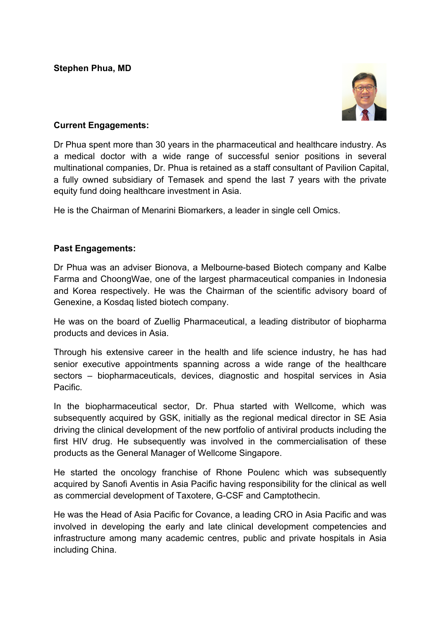**Stephen Phua, MD**



## **Current Engagements:**

Dr Phua spent more than 30 years in the pharmaceutical and healthcare industry. As a medical doctor with a wide range of successful senior positions in several multinational companies, Dr. Phua is retained as a staff consultant of Pavilion Capital, a fully owned subsidiary of Temasek and spend the last 7 years with the private equity fund doing healthcare investment in Asia.

He is the Chairman of Menarini Biomarkers, a leader in single cell Omics.

## **Past Engagements:**

Dr Phua was an adviser Bionova, a Melbourne-based Biotech company and Kalbe Farma and ChoongWae, one of the largest pharmaceutical companies in Indonesia and Korea respectively. He was the Chairman of the scientific advisory board of Genexine, a Kosdaq listed biotech company.

He was on the board of Zuellig Pharmaceutical, a leading distributor of biopharma products and devices in Asia.

Through his extensive career in the health and life science industry, he has had senior executive appointments spanning across a wide range of the healthcare sectors – biopharmaceuticals, devices, diagnostic and hospital services in Asia Pacific.

In the biopharmaceutical sector, Dr. Phua started with Wellcome, which was subsequently acquired by GSK, initially as the regional medical director in SE Asia driving the clinical development of the new portfolio of antiviral products including the first HIV drug. He subsequently was involved in the commercialisation of these products as the General Manager of Wellcome Singapore.

He started the oncology franchise of Rhone Poulenc which was subsequently acquired by Sanofi Aventis in Asia Pacific having responsibility for the clinical as well as commercial development of Taxotere, G-CSF and Camptothecin.

He was the Head of Asia Pacific for Covance, a leading CRO in Asia Pacific and was involved in developing the early and late clinical development competencies and infrastructure among many academic centres, public and private hospitals in Asia including China.